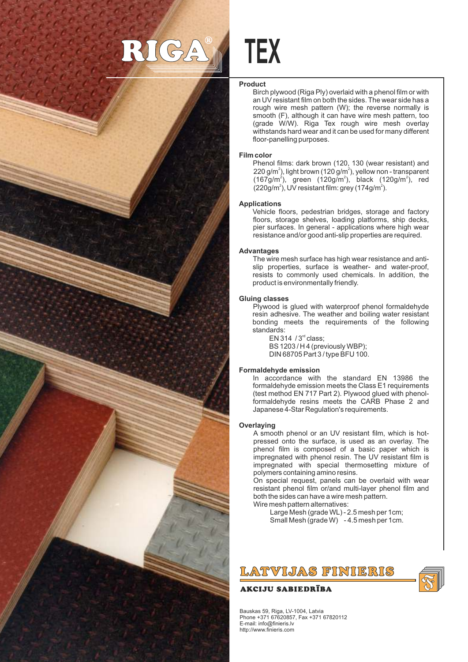

# **TEX**

#### **Product**

Birch plywood (Riga Ply) overlaid with a phenol film or with an UV resistant film on both the sides. The wear side has a rough wire mesh pattern (W); the reverse normally is smooth (F), although it can have wire mesh pattern, too (grade W/W). Riga Tex rough wire mesh overlay withstands hard wear and it can be used for many different floor-panelling purposes.

## **Film color**

Phenol films: dark brown (120, 130 (wear resistant) and 220 g/m<sup>2</sup>), light brown (120 g/m<sup>2</sup>), yellow non - transparent  $(167g/m^2)$ , green  $(120g/m^2)$ , black  $(120g/m^2)$ , red  $(220g/m<sup>2</sup>)$ , UV resistant film: grey  $(174g/m<sup>2</sup>)$ .

## **Applications**

Vehicle floors, pedestrian bridges, storage and factory floors, storage shelves, loading platforms, ship decks, pier surfaces. In general - applications where high wear resistance and/or good anti-slip properties are required.

## **Advantages**

The wire mesh surface has high wear resistance and antislip properties, surface is weather- and water-proof, resists to commonly used chemicals. In addition, the product is environmentally friendly.

## **Gluing classes**

Plywood is glued with waterproof phenol formaldehyde resin adhesive. The weather and boiling water resistant bonding meets the requirements of the following standards:

 $EN 314 / 3<sup>rd</sup> class;$ BS 1203 / H 4 (previously WBP); DIN 68705 Part 3 / type BFU 100.

# **Formaldehyde emission**

In accordance with the standard EN 13986 the formaldehyde emission meets the Class E1 requirements (test method EN 717 Part 2). Plywood glued with phenolformaldehyde resins meets the CARB Phase 2 and Japanese 4-Star Regulation's requirements.

### **Overlaying**

A smooth phenol or an UV resistant film, which is hotpressed onto the surface, is used as an overlay. The phenol film is composed of a basic paper which is impregnated with phenol resin. The UV resistant film is impregnated with special thermosetting mixture of polymers containing amino resins.

On special request, panels can be overlaid with wear resistant phenol film or/and multi-layer phenol film and both the sides can have a wire mesh pattern. Wire mesh pattern alternatives:

Large Mesh (grade WL) - 2.5 mesh per 1cm; Small Mesh (grade W) - 4.5 mesh per 1cm.



# **AKCIJU SABIEDRĪBA**

Bauskas 59, Riga, LV-1004, Latvia Phone +371 67620857, Fax +371 67820112 E-mail: info@finieris.lv http://www.finieris.com